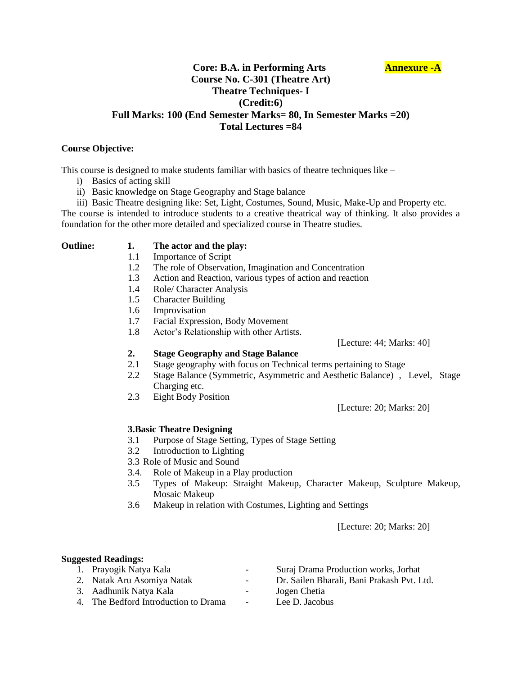# **Core: B.A. in Performing Arts Annexure -A Course No. C-301 (Theatre Art) Theatre Techniques- I (Credit:6) Full Marks: 100 (End Semester Marks= 80, In Semester Marks =20) Total Lectures =84**

### **Course Objective:**

This course is designed to make students familiar with basics of theatre techniques like –

- i) Basics of acting skill
- ii) Basic knowledge on Stage Geography and Stage balance
- iii) Basic Theatre designing like: Set, Light, Costumes, Sound, Music, Make-Up and Property etc.

The course is intended to introduce students to a creative theatrical way of thinking. It also provides a foundation for the other more detailed and specialized course in Theatre studies.

### **Outline: 1. The actor and the play:**

- 1.1 Importance of Script
- 1.2 The role of Observation, Imagination and Concentration
- 1.3 Action and Reaction, various types of action and reaction
- 1.4 Role/ Character Analysis
- 1.5 Character Building
- 1.6 Improvisation
- 1.7 Facial Expression, Body Movement
- 1.8 Actor's Relationship with other Artists.

[Lecture: 44; Marks: 40]

- **2. Stage Geography and Stage Balance**
- 2.1 Stage geography with focus on Technical terms pertaining to Stage
- 2.2 Stage Balance (Symmetric, Asymmetric and Aesthetic Balance) , Level, Stage Charging etc.
- 2.3 Eight Body Position

[Lecture: 20; Marks: 20]

# **3.Basic Theatre Designing**

- 3.1 Purpose of Stage Setting, Types of Stage Setting
- 3.2 Introduction to Lighting
- 3.3 Role of Music and Sound
- 3.4. Role of Makeup in a Play production
- 3.5 Types of Makeup: Straight Makeup, Character Makeup, Sculpture Makeup, Mosaic Makeup
- 3.6 Makeup in relation with Costumes, Lighting and Settings

[Lecture: 20; Marks: 20]

### **Suggested Readings:**

- 
- 
- 3. Aadhunik Natya Kala Jogen Chetia
- 4. The Bedford Introduction to Drama Lee D. Jacobus
- 1. Prayogik Natya Kala Suraj Drama Production works, Jorhat
- 2. Natak Aru Asomiya Natak Dr. Sailen Bharali, Bani Prakash Pvt. Ltd.
	- -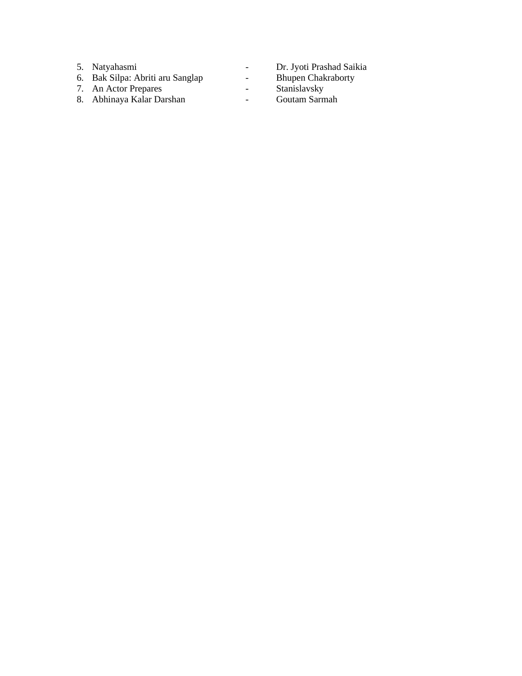- 5. Natyahasmi
- 6. Bak Silpa: Abriti aru Sanglap
- 7. An Actor Prepares
- 8. Abhinaya Kalar Darshan
- Dr. Jyoti Prashad Saikia
- Bhupen Chakraborty
- Stanislavsky
- Goutam Sarmah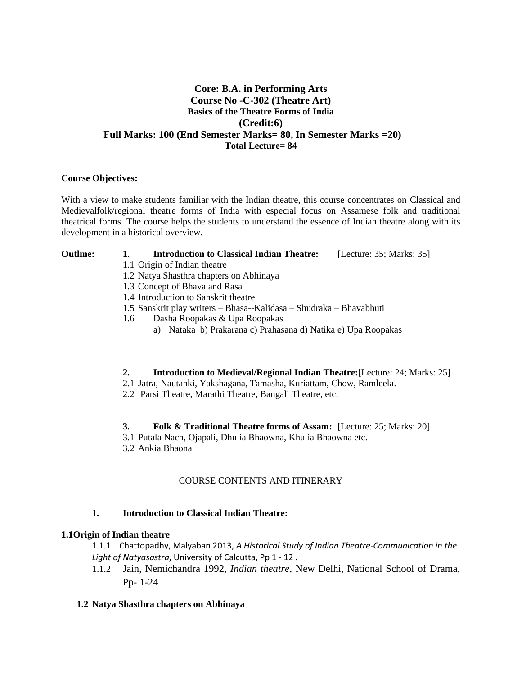# **Core: B.A. in Performing Arts Course No -C-302 (Theatre Art) Basics of the Theatre Forms of India (Credit:6) Full Marks: 100 (End Semester Marks= 80, In Semester Marks =20) Total Lecture= 84**

### **Course Objectives:**

With a view to make students familiar with the Indian theatre, this course concentrates on Classical and Medievalfolk/regional theatre forms of India with especial focus on Assamese folk and traditional theatrical forms. The course helps the students to understand the essence of Indian theatre along with its development in a historical overview.

#### **Outline: 1. Introduction to Classical Indian Theatre:** [Lecture: 35; Marks: 35]

- 1.1 Origin of Indian theatre
- 1.2 Natya Shasthra chapters on Abhinaya
- 1.3 Concept of Bhava and Rasa
- 1.4 Introduction to Sanskrit theatre
- 1.5 Sanskrit play writers Bhasa--Kalidasa Shudraka Bhavabhuti
- 1.6 Dasha Roopakas & Upa Roopakas
	- a) Nataka b) Prakarana c) Prahasana d) Natika e) Upa Roopakas

### **2. Introduction to Medieval/Regional Indian Theatre:**[Lecture: 24; Marks: 25]

- 2.1 Jatra, Nautanki, Yakshagana, Tamasha, Kuriattam, Chow, Ramleela.
- 2.2 Parsi Theatre, Marathi Theatre, Bangali Theatre, etc.

### **3. Folk & Traditional Theatre forms of Assam:** [Lecture: 25; Marks: 20]

- 3.1 Putala Nach, Ojapali, Dhulia Bhaowna, Khulia Bhaowna etc.
- 3.2 Ankia Bhaona

# COURSE CONTENTS AND ITINERARY

### **1. Introduction to Classical Indian Theatre:**

# **1.1Origin of Indian theatre**

1.1.1 Chattopadhy, Malyaban 2013, *A Historical Study of Indian Theatre-Communication in the Light of Natyasastra*, University of Calcutta, Pp 1 - 12 .

1.1.2 Jain, Nemichandra 1992, *Indian theatre*, New Delhi, National School of Drama, Pp- 1-24

### **1.2 Natya Shasthra chapters on Abhinaya**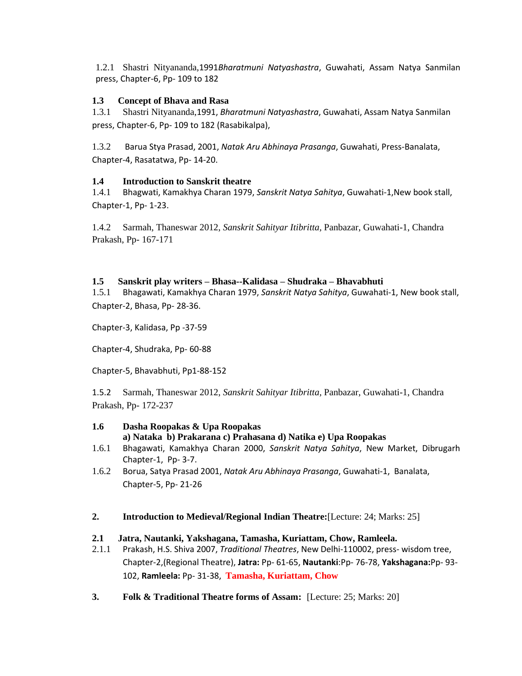1.2.1 Shastri Nityananda,1991*Bharatmuni Natyashastra*, Guwahati, Assam Natya Sanmilan press, Chapter-6, Pp- 109 to 182

# **1.3 Concept of Bhava and Rasa**

1.3.1 Shastri Nityananda,1991, *Bharatmuni Natyashastra*, Guwahati, Assam Natya Sanmilan press, Chapter-6, Pp- 109 to 182 (Rasabikalpa),

1.3.2 Barua Stya Prasad, 2001, *Natak Aru Abhinaya Prasanga*, Guwahati, Press-Banalata, Chapter-4, Rasatatwa, Pp- 14-20.

# **1.4 Introduction to Sanskrit theatre**

1.4.1 Bhagwati, Kamakhya Charan 1979, *Sanskrit Natya Sahitya*, Guwahati-1,New book stall, Chapter-1, Pp- 1-23.

1.4.2 Sarmah, Thaneswar 2012, *Sanskrit Sahityar Itibritta,* Panbazar, Guwahati-1, Chandra Prakash, Pp- 167-171

# **1.5 Sanskrit play writers – Bhasa--Kalidasa – Shudraka – Bhavabhuti**

1.5.1 Bhagawati, Kamakhya Charan 1979, *Sanskrit Natya Sahitya*, Guwahati-1, New book stall, Chapter-2, Bhasa, Pp- 28-36.

Chapter-3, Kalidasa, Pp -37-59

Chapter-4, Shudraka, Pp- 60-88

Chapter-5, Bhavabhuti, Pp1-88-152

1.5.2 Sarmah, Thaneswar 2012, *Sanskrit Sahityar Itibritta,* Panbazar, Guwahati-1, Chandra Prakash, Pp- 172-237

# **1.6 Dasha Roopakas & Upa Roopakas**

**a) Nataka b) Prakarana c) Prahasana d) Natika e) Upa Roopakas**

- 1.6.1 Bhagawati, Kamakhya Charan 2000, *Sanskrit Natya Sahitya*, New Market, Dibrugarh Chapter-1, Pp- 3-7.
- 1.6.2 Borua, Satya Prasad 2001, *Natak Aru Abhinaya Prasanga*, Guwahati-1, Banalata, Chapter-5, Pp- 21-26
- **2. Introduction to Medieval/Regional Indian Theatre:**[Lecture: 24; Marks: 25]

# **2.1 Jatra, Nautanki, Yakshagana, Tamasha, Kuriattam, Chow, Ramleela.**

- 2.1.1 Prakash, H.S. Shiva 2007, *Traditional Theatres*, New Delhi-110002, press- wisdom tree, Chapter-2,(Regional Theatre), **Jatra:** Pp- 61-65, **Nautanki**:Pp- 76-78, **Yakshagana:**Pp- 93- 102, **Ramleela:** Pp- 31-38, **Tamasha, Kuriattam, Chow**
- **3. Folk & Traditional Theatre forms of Assam:** [Lecture: 25; Marks: 20]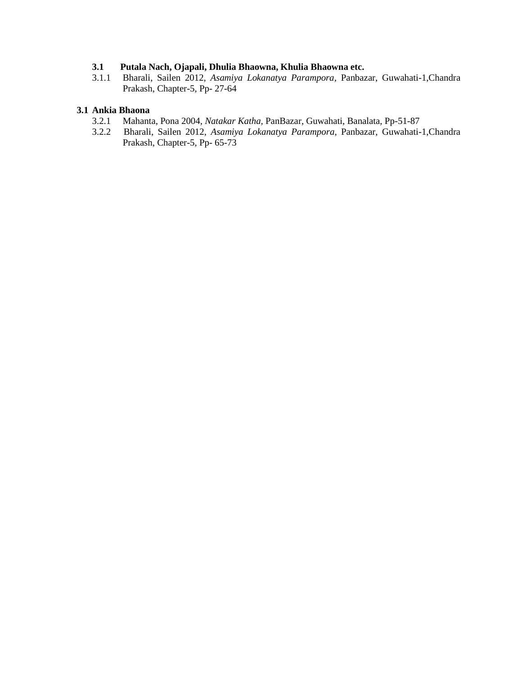# **3.1 Putala Nach, Ojapali, Dhulia Bhaowna, Khulia Bhaowna etc.**

3.1.1 Bharali, Sailen 2012, *Asamiya Lokanatya Parampora,* Panbazar, Guwahati-1,Chandra Prakash, Chapter-5, Pp- 27-64

#### **3.1 Ankia Bhaona**

- 3.2.1 Mahanta, Pona 2004, *Natakar Katha,* PanBazar, Guwahati, Banalata, Pp-51-87
- 3.2.2 Bharali, Sailen 2012, *Asamiya Lokanatya Parampora,* Panbazar, Guwahati-1,Chandra Prakash, Chapter-5, Pp- 65-73